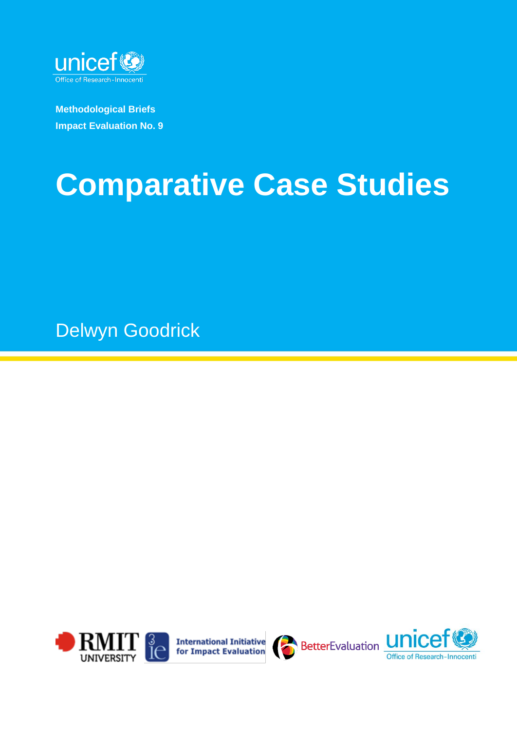

**Methodological Briefs Impact Evaluation No. 9**

# **Comparative Case Studies**

Delwyn Goodrick





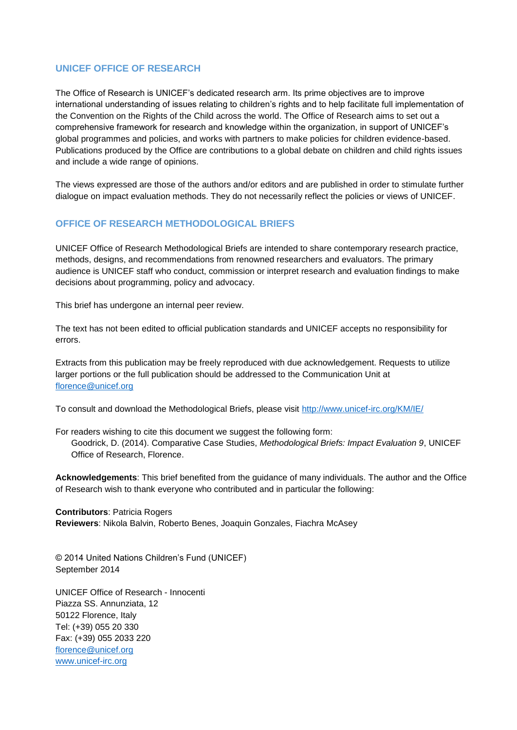#### **UNICEF OFFICE OF RESEARCH**

The Office of Research is UNICEF's dedicated research arm. Its prime objectives are to improve international understanding of issues relating to children's rights and to help facilitate full implementation of the Convention on the Rights of the Child across the world. The Office of Research aims to set out a comprehensive framework for research and knowledge within the organization, in support of UNICEF's global programmes and policies, and works with partners to make policies for children evidence-based. Publications produced by the Office are contributions to a global debate on children and child rights issues and include a wide range of opinions.

The views expressed are those of the authors and/or editors and are published in order to stimulate further dialogue on impact evaluation methods. They do not necessarily reflect the policies or views of UNICEF.

#### **OFFICE OF RESEARCH METHODOLOGICAL BRIEFS**

UNICEF Office of Research Methodological Briefs are intended to share contemporary research practice, methods, designs, and recommendations from renowned researchers and evaluators. The primary audience is UNICEF staff who conduct, commission or interpret research and evaluation findings to make decisions about programming, policy and advocacy.

This brief has undergone an internal peer review.

The text has not been edited to official publication standards and UNICEF accepts no responsibility for errors.

Extracts from this publication may be freely reproduced with due acknowledgement. Requests to utilize larger portions or the full publication should be addressed to the Communication Unit at [florence@unicef.org](mailto:florence@unicef.org) 

To consult and download the Methodological Briefs, please visit<http://www.unicef-irc.org/KM/IE/>

For readers wishing to cite this document we suggest the following form: Goodrick, D. (2014). Comparative Case Studies, *Methodological Briefs: Impact Evaluation 9*, UNICEF Office of Research, Florence.

**Acknowledgements**: This brief benefited from the guidance of many individuals. The author and the Office of Research wish to thank everyone who contributed and in particular the following:

**Contributors**: Patricia Rogers **Reviewers**: Nikola Balvin, Roberto Benes, Joaquin Gonzales, Fiachra McAsey

© 2014 United Nations Children's Fund (UNICEF) September 2014

UNICEF Office of Research - Innocenti Piazza SS. Annunziata, 12 50122 Florence, Italy Tel: (+39) 055 20 330 Fax: (+39) 055 2033 220 [florence@unicef.org](mailto:florence@unicef.org) [www.unicef-irc.org](http://www.unicef-irc.org/)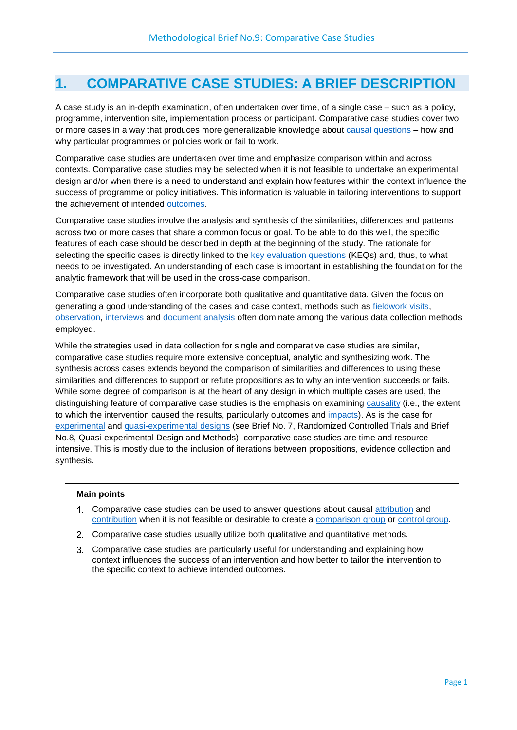## **1. COMPARATIVE CASE STUDIES: A BRIEF DESCRIPTION**

<span id="page-2-2"></span>A case study is an in-depth examination, often undertaken over time, of a single case – such as a policy, programme, intervention site, implementation process or participant. Comparative case studies cover two or more cases in a way that produces more generalizable knowledge about [causal questions](#page-14-0) – how and why particular programmes or policies work or fail to work.

Comparative case studies are undertaken over time and emphasize comparison within and across contexts. Comparative case studies may be selected when it is not feasible to undertake an experimental design and/or when there is a need to understand and explain how features within the context influence the success of programme or policy initiatives. This information is valuable in tailoring interventions to support the achievement of intended [outcomes.](#page-15-0)

<span id="page-2-13"></span><span id="page-2-11"></span>Comparative case studies involve the analysis and synthesis of the similarities, differences and patterns across two or more cases that share a common focus or goal. To be able to do this well, the specific features of each case should be described in depth at the beginning of the study. The rationale for selecting the specific cases is directly linked to the [key evaluation questions](#page-15-1) (KEQs) and, thus, to what needs to be investigated. An understanding of each case is important in establishing the foundation for the analytic framework that will be used in the cross-case comparison.

<span id="page-2-12"></span><span id="page-2-10"></span><span id="page-2-8"></span><span id="page-2-1"></span>Comparative case studies often incorporate both qualitative and quantitative data. Given the focus on generating a good understanding of the cases and case context, methods such as [fieldwork visits,](#page-15-2) [observation,](#page-15-3) [interviews](#page-15-4) and [document analysis](#page-14-1) often dominate among the various data collection methods employed.

While the strategies used in data collection for single and comparative case studies are similar, comparative case studies require more extensive conceptual, analytic and synthesizing work. The synthesis across cases extends beyond the comparison of similarities and differences to using these similarities and differences to support or refute propositions as to why an intervention succeeds or fails. While some degree of comparison is at the heart of any design in which multiple cases are used, the distinguishing feature of comparative case studies is the emphasis on examining [causality](#page-14-2) (i.e., the extent to which the intervention caused the results, particularly outcomes and [impacts\)](#page-15-5). As is the case for [experimental](#page-14-3) and [quasi-experimental designs](#page-15-6) (see Brief No. 7, Randomized Controlled Trials and Brief No.8, Quasi-experimental Design and Methods), comparative case studies are time and resourceintensive. This is mostly due to the inclusion of iterations between propositions, evidence collection and synthesis.

#### <span id="page-2-14"></span><span id="page-2-9"></span><span id="page-2-7"></span><span id="page-2-3"></span>**Main points**

- <span id="page-2-6"></span><span id="page-2-5"></span><span id="page-2-4"></span><span id="page-2-0"></span>Comparative case studies can be used to answer questions about causal [attribution](#page-14-4) and [contribution](#page-14-5) when it is not feasible or desirable to create a [comparison group](#page-14-6) or [control group.](#page-14-7)
- 2. Comparative case studies usually utilize both qualitative and quantitative methods.
- Comparative case studies are particularly useful for understanding and explaining how context influences the success of an intervention and how better to tailor the intervention to the specific context to achieve intended outcomes.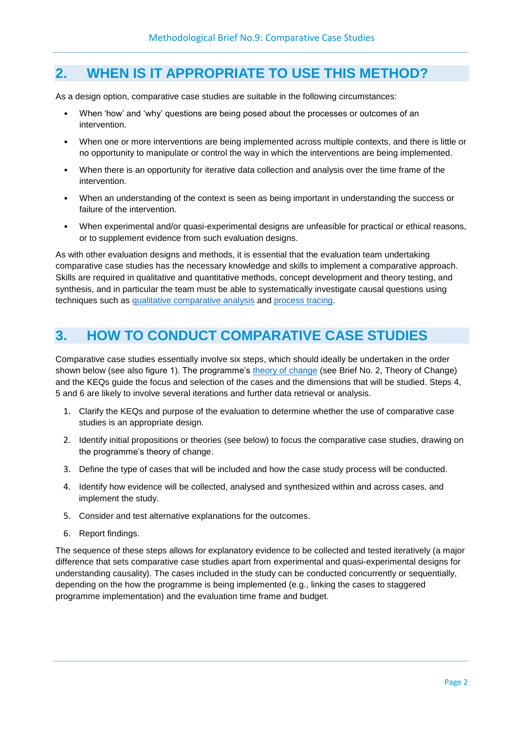## **2. WHEN IS IT APPROPRIATE TO USE THIS METHOD?**

As a design option, comparative case studies are suitable in the following circumstances:

- When 'how' and 'why' questions are being posed about the processes or outcomes of an intervention.
- When one or more interventions are being implemented across multiple contexts, and there is little or no opportunity to manipulate or control the way in which the interventions are being implemented.
- When there is an opportunity for iterative data collection and analysis over the time frame of the intervention.
- When an understanding of the context is seen as being important in understanding the success or failure of the intervention.
- When experimental and/or quasi-experimental designs are unfeasible for practical or ethical reasons, or to supplement evidence from such evaluation designs.

As with other evaluation designs and methods, it is essential that the evaluation team undertaking comparative case studies has the necessary knowledge and skills to implement a comparative approach. Skills are required in qualitative and quantitative methods, concept development and theory testing, and synthesis, and in particular the team must be able to systematically investigate causal questions using techniques such as [qualitative comparative analysis](#page-15-7) and [process tracing.](#page-15-8)

## <span id="page-3-1"></span><span id="page-3-0"></span>**3. HOW TO CONDUCT COMPARATIVE CASE STUDIES**

Comparative case studies essentially involve six steps, which should ideally be undertaken in the order shown below (see also figure 1). The programme's [theory of change](#page-16-0) (see Brief No. 2, Theory of Change) and the KEQs guide the focus and selection of the cases and the dimensions that will be studied. Steps 4, 5 and 6 are likely to involve several iterations and further data retrieval or analysis.

- <span id="page-3-2"></span>1. Clarify the KEQs and purpose of the evaluation to determine whether the use of comparative case studies is an appropriate design.
- 2. Identify initial propositions or theories (see below) to focus the comparative case studies, drawing on the programme's theory of change.
- 3. Define the type of cases that will be included and how the case study process will be conducted.
- 4. Identify how evidence will be collected, analysed and synthesized within and across cases, and implement the study.
- 5. Consider and test alternative explanations for the outcomes.
- 6. Report findings.

The sequence of these steps allows for explanatory evidence to be collected and tested iteratively (a major difference that sets comparative case studies apart from experimental and quasi-experimental designs for understanding causality). The cases included in the study can be conducted concurrently or sequentially, depending on the how the programme is being implemented (e.g., linking the cases to staggered programme implementation) and the evaluation time frame and budget.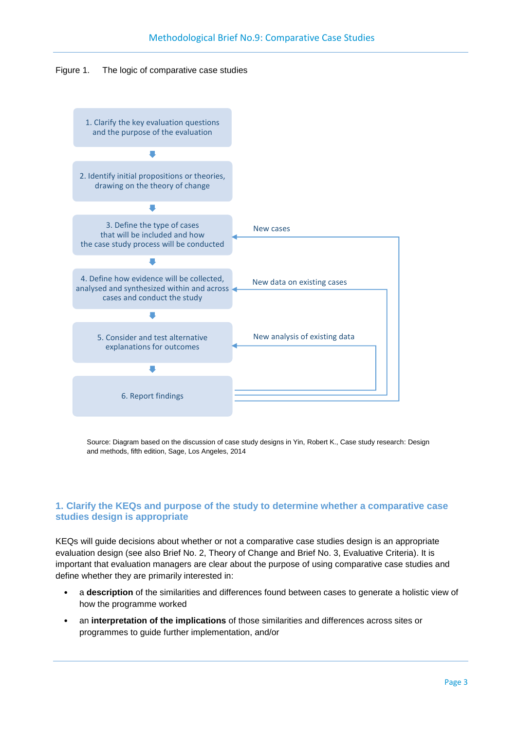



Source: Diagram based on the discussion of case study designs in Yin, Robert K., Case study research: Design and methods, fifth edition, Sage, Los Angeles, 2014

#### **1. Clarify the KEQs and purpose of the study to determine whether a comparative case studies design is appropriate**

KEQs will guide decisions about whether or not a comparative case studies design is an appropriate evaluation design (see also Brief No. 2, Theory of Change and Brief No. 3, Evaluative Criteria). It is important that evaluation managers are clear about the purpose of using comparative case studies and define whether they are primarily interested in:

- a **description** of the similarities and differences found between cases to generate a holistic view of how the programme worked
- an **interpretation of the implications** of those similarities and differences across sites or programmes to guide further implementation, and/or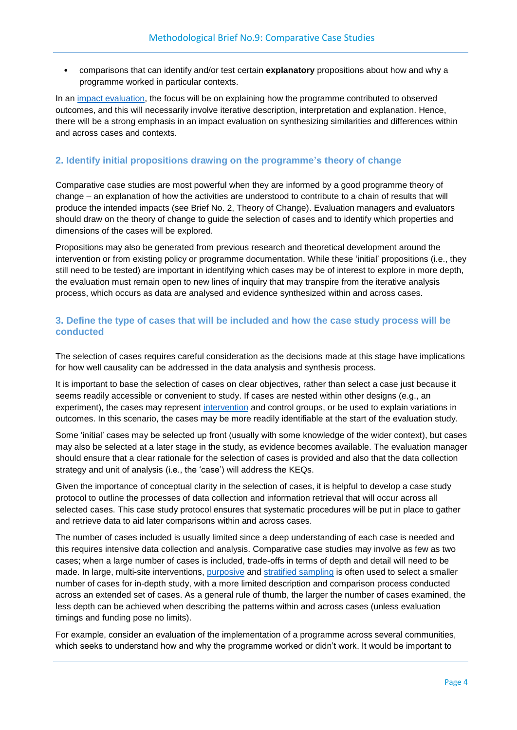• comparisons that can identify and/or test certain **explanatory** propositions about how and why a programme worked in particular contexts.

<span id="page-5-0"></span>In an [impact evaluation,](#page-15-9) the focus will be on explaining how the programme contributed to observed outcomes, and this will necessarily involve iterative description, interpretation and explanation. Hence, there will be a strong emphasis in an impact evaluation on synthesizing similarities and differences within and across cases and contexts.

#### **2. Identify initial propositions drawing on the programme's theory of change**

Comparative case studies are most powerful when they are informed by a good programme theory of change – an explanation of how the activities are understood to contribute to a chain of results that will produce the intended impacts (see Brief No. 2, Theory of Change). Evaluation managers and evaluators should draw on the theory of change to guide the selection of cases and to identify which properties and dimensions of the cases will be explored.

Propositions may also be generated from previous research and theoretical development around the intervention or from existing policy or programme documentation. While these 'initial' propositions (i.e., they still need to be tested) are important in identifying which cases may be of interest to explore in more depth, the evaluation must remain open to new lines of inquiry that may transpire from the iterative analysis process, which occurs as data are analysed and evidence synthesized within and across cases.

#### **3. Define the type of cases that will be included and how the case study process will be conducted**

The selection of cases requires careful consideration as the decisions made at this stage have implications for how well causality can be addressed in the data analysis and synthesis process.

<span id="page-5-1"></span>It is important to base the selection of cases on clear objectives, rather than select a case just because it seems readily accessible or convenient to study. If cases are nested within other designs (e.g., an experiment), the cases may represent [intervention](#page-15-10) and control groups, or be used to explain variations in outcomes. In this scenario, the cases may be more readily identifiable at the start of the evaluation study.

Some 'initial' cases may be selected up front (usually with some knowledge of the wider context), but cases may also be selected at a later stage in the study, as evidence becomes available. The evaluation manager should ensure that a clear rationale for the selection of cases is provided and also that the data collection strategy and unit of analysis (i.e., the 'case') will address the KEQs.

Given the importance of conceptual clarity in the selection of cases, it is helpful to develop a case study protocol to outline the processes of data collection and information retrieval that will occur across all selected cases. This case study protocol ensures that systematic procedures will be put in place to gather and retrieve data to aid later comparisons within and across cases.

<span id="page-5-3"></span><span id="page-5-2"></span>The number of cases included is usually limited since a deep understanding of each case is needed and this requires intensive data collection and analysis. Comparative case studies may involve as few as two cases; when a large number of cases is included, trade-offs in terms of depth and detail will need to be made. In large, multi-site interventions, [purposive](#page-15-11) and [stratified sampling](#page-16-1) is often used to select a smaller number of cases for in-depth study, with a more limited description and comparison process conducted across an extended set of cases. As a general rule of thumb, the larger the number of cases examined, the less depth can be achieved when describing the patterns within and across cases (unless evaluation timings and funding pose no limits).

For example, consider an evaluation of the implementation of a programme across several communities, which seeks to understand how and why the programme worked or didn't work. It would be important to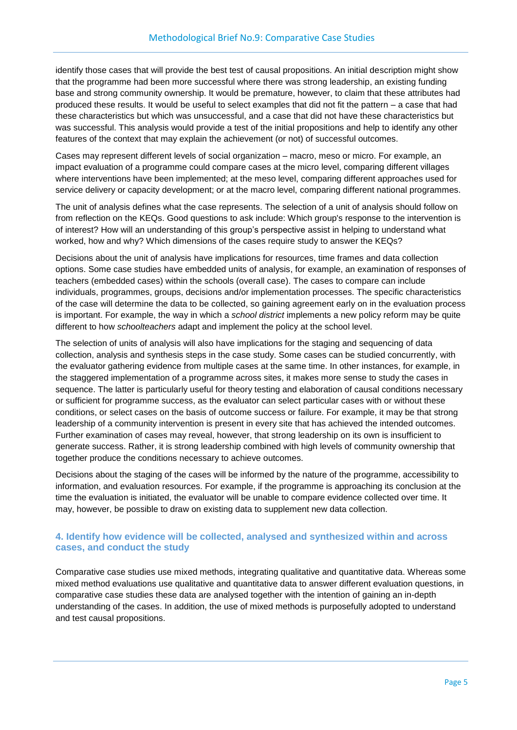identify those cases that will provide the best test of causal propositions. An initial description might show that the programme had been more successful where there was strong leadership, an existing funding base and strong community ownership. It would be premature, however, to claim that these attributes had produced these results. It would be useful to select examples that did not fit the pattern – a case that had these characteristics but which was unsuccessful, and a case that did not have these characteristics but was successful. This analysis would provide a test of the initial propositions and help to identify any other features of the context that may explain the achievement (or not) of successful outcomes.

Cases may represent different levels of social organization – macro, meso or micro. For example, an impact evaluation of a programme could compare cases at the micro level, comparing different villages where interventions have been implemented; at the meso level, comparing different approaches used for service delivery or capacity development; or at the macro level, comparing different national programmes.

The unit of analysis defines what the case represents. The selection of a unit of analysis should follow on from reflection on the KEQs. Good questions to ask include: Which group's response to the intervention is of interest? How will an understanding of this group's perspective assist in helping to understand what worked, how and why? Which dimensions of the cases require study to answer the KEQs?

Decisions about the unit of analysis have implications for resources, time frames and data collection options. Some case studies have embedded units of analysis, for example, an examination of responses of teachers (embedded cases) within the schools (overall case). The cases to compare can include individuals, programmes, groups, decisions and/or implementation processes. The specific characteristics of the case will determine the data to be collected, so gaining agreement early on in the evaluation process is important. For example, the way in which a *school district* implements a new policy reform may be quite different to how *schoolteachers* adapt and implement the policy at the school level.

The selection of units of analysis will also have implications for the staging and sequencing of data collection, analysis and synthesis steps in the case study. Some cases can be studied concurrently, with the evaluator gathering evidence from multiple cases at the same time. In other instances, for example, in the staggered implementation of a programme across sites, it makes more sense to study the cases in sequence. The latter is particularly useful for theory testing and elaboration of causal conditions necessary or sufficient for programme success, as the evaluator can select particular cases with or without these conditions, or select cases on the basis of outcome success or failure. For example, it may be that strong leadership of a community intervention is present in every site that has achieved the intended outcomes. Further examination of cases may reveal, however, that strong leadership on its own is insufficient to generate success. Rather, it is strong leadership combined with high levels of community ownership that together produce the conditions necessary to achieve outcomes.

Decisions about the staging of the cases will be informed by the nature of the programme, accessibility to information, and evaluation resources. For example, if the programme is approaching its conclusion at the time the evaluation is initiated, the evaluator will be unable to compare evidence collected over time. It may, however, be possible to draw on existing data to supplement new data collection.

#### **4. Identify how evidence will be collected, analysed and synthesized within and across cases, and conduct the study**

Comparative case studies use mixed methods, integrating qualitative and quantitative data. Whereas some mixed method evaluations use qualitative and quantitative data to answer different evaluation questions, in comparative case studies these data are analysed together with the intention of gaining an in-depth understanding of the cases. In addition, the use of mixed methods is purposefully adopted to understand and test causal propositions.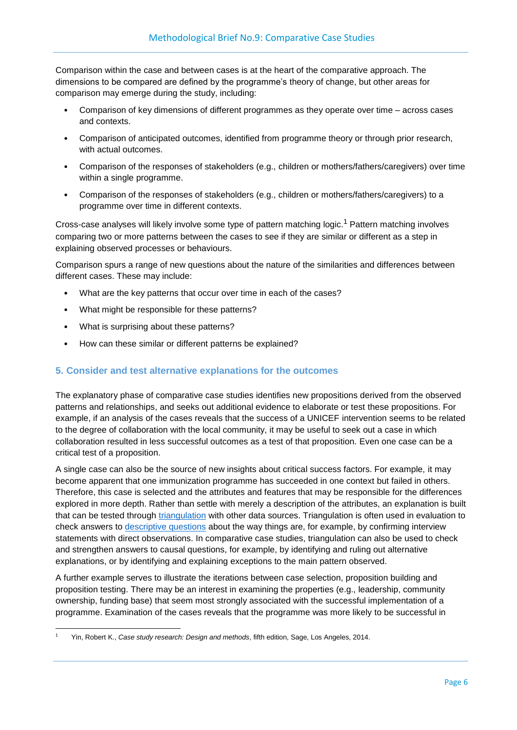Comparison within the case and between cases is at the heart of the comparative approach. The dimensions to be compared are defined by the programme's theory of change, but other areas for comparison may emerge during the study, including:

- Comparison of key dimensions of different programmes as they operate over time across cases and contexts.
- Comparison of anticipated outcomes, identified from programme theory or through prior research, with actual outcomes.
- Comparison of the responses of stakeholders (e.g., children or mothers/fathers/caregivers) over time within a single programme.
- Comparison of the responses of stakeholders (e.g., children or mothers/fathers/caregivers) to a programme over time in different contexts.

Cross-case analyses will likely involve some type of pattern matching logic.<sup>1</sup> Pattern matching involves comparing two or more patterns between the cases to see if they are similar or different as a step in explaining observed processes or behaviours.

Comparison spurs a range of new questions about the nature of the similarities and differences between different cases. These may include:

- What are the key patterns that occur over time in each of the cases?
- What might be responsible for these patterns?
- What is surprising about these patterns?
- How can these similar or different patterns be explained?

#### **5. Consider and test alternative explanations for the outcomes**

The explanatory phase of comparative case studies identifies new propositions derived from the observed patterns and relationships, and seeks out additional evidence to elaborate or test these propositions. For example, if an analysis of the cases reveals that the success of a UNICEF intervention seems to be related to the degree of collaboration with the local community, it may be useful to seek out a case in which collaboration resulted in less successful outcomes as a test of that proposition. Even one case can be a critical test of a proposition.

<span id="page-7-1"></span>A single case can also be the source of new insights about critical success factors. For example, it may become apparent that one immunization programme has succeeded in one context but failed in others. Therefore, this case is selected and the attributes and features that may be responsible for the differences explored in more depth. Rather than settle with merely a description of the attributes, an explanation is built that can be tested through [triangulation](#page-16-2) with other data sources. Triangulation is often used in evaluation to check answers to [descriptive questions](#page-14-8) about the way things are, for example, by confirming interview statements with direct observations. In comparative case studies, triangulation can also be used to check and strengthen answers to causal questions, for example, by identifying and ruling out alternative explanations, or by identifying and explaining exceptions to the main pattern observed.

<span id="page-7-0"></span>A further example serves to illustrate the iterations between case selection, proposition building and proposition testing. There may be an interest in examining the properties (e.g., leadership, community ownership, funding base) that seem most strongly associated with the successful implementation of a programme. Examination of the cases reveals that the programme was more likely to be successful in

**<sup>.</sup>** <sup>1</sup> Yin, Robert K., *Case study research: Design and methods*, fifth edition, Sage, Los Angeles, 2014.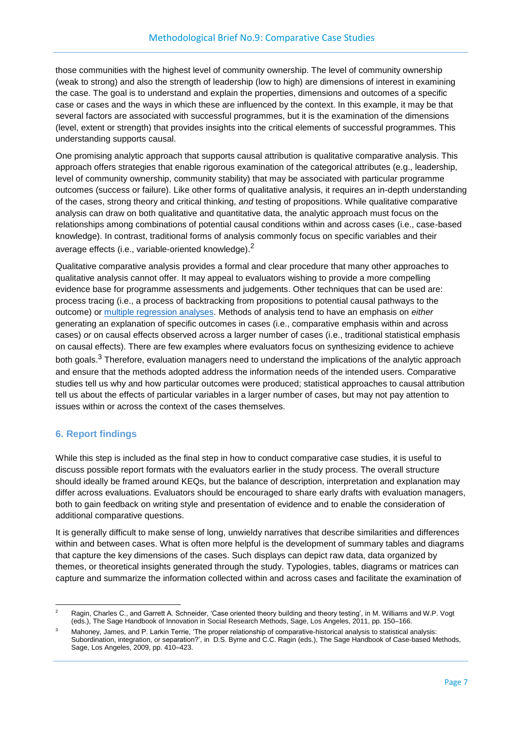those communities with the highest level of community ownership. The level of community ownership (weak to strong) and also the strength of leadership (low to high) are dimensions of interest in examining the case. The goal is to understand and explain the properties, dimensions and outcomes of a specific case or cases and the ways in which these are influenced by the context. In this example, it may be that several factors are associated with successful programmes, but it is the examination of the dimensions (level, extent or strength) that provides insights into the critical elements of successful programmes. This understanding supports causal.

One promising analytic approach that supports causal attribution is qualitative comparative analysis. This approach offers strategies that enable rigorous examination of the categorical attributes (e.g., leadership, level of community ownership, community stability) that may be associated with particular programme outcomes (success or failure). Like other forms of qualitative analysis, it requires an in-depth understanding of the cases, strong theory and critical thinking, *and* testing of propositions. While qualitative comparative analysis can draw on both qualitative and quantitative data, the analytic approach must focus on the relationships among combinations of potential causal conditions within and across cases (i.e., case-based knowledge). In contrast, traditional forms of analysis commonly focus on specific variables and their average effects (i.e., variable-oriented knowledge).<sup>2</sup>

<span id="page-8-0"></span>Qualitative comparative analysis provides a formal and clear procedure that many other approaches to qualitative analysis cannot offer. It may appeal to evaluators wishing to provide a more compelling evidence base for programme assessments and judgements. Other techniques that can be used are: process tracing (i.e., a process of backtracking from propositions to potential causal pathways to the outcome) or [multiple regression analyses.](#page-15-12) Methods of analysis tend to have an emphasis on *either* generating an explanation of specific outcomes in cases (i.e., comparative emphasis within and across cases) *or* on causal effects observed across a larger number of cases (i.e., traditional statistical emphasis on causal effects). There are few examples where evaluators focus on synthesizing evidence to achieve both goals.<sup>3</sup> Therefore, evaluation managers need to understand the implications of the analytic approach and ensure that the methods adopted address the information needs of the intended users. Comparative studies tell us why and how particular outcomes were produced; statistical approaches to causal attribution tell us about the effects of particular variables in a larger number of cases, but may not pay attention to issues within or across the context of the cases themselves.

#### **6. Report findings**

While this step is included as the final step in how to conduct comparative case studies, it is useful to discuss possible report formats with the evaluators earlier in the study process. The overall structure should ideally be framed around KEQs, but the balance of description, interpretation and explanation may differ across evaluations. Evaluators should be encouraged to share early drafts with evaluation managers, both to gain feedback on writing style and presentation of evidence and to enable the consideration of additional comparative questions.

It is generally difficult to make sense of long, unwieldy narratives that describe similarities and differences within and between cases. What is often more helpful is the development of summary tables and diagrams that capture the key dimensions of the cases. Such displays can depict raw data, data organized by themes, or theoretical insights generated through the study. Typologies, tables, diagrams or matrices can capture and summarize the information collected within and across cases and facilitate the examination of

<sup>1</sup> <sup>2</sup> Ragin, Charles C., and Garrett A. Schneider, 'Case oriented theory building and theory testing', in M. Williams and W.P. Vogt (eds.), The Sage Handbook of Innovation in Social Research Methods, Sage, Los Angeles, 2011, pp. 150–166.

Mahoney, James, and P. Larkin Terrie, 'The proper relationship of comparative-historical analysis to statistical analysis: Subordination, integration, or separation?', in D.S. Byrne and C.C. Ragin (eds.), The Sage Handbook of Case-based Methods, Sage, Los Angeles, 2009, pp. 410–423.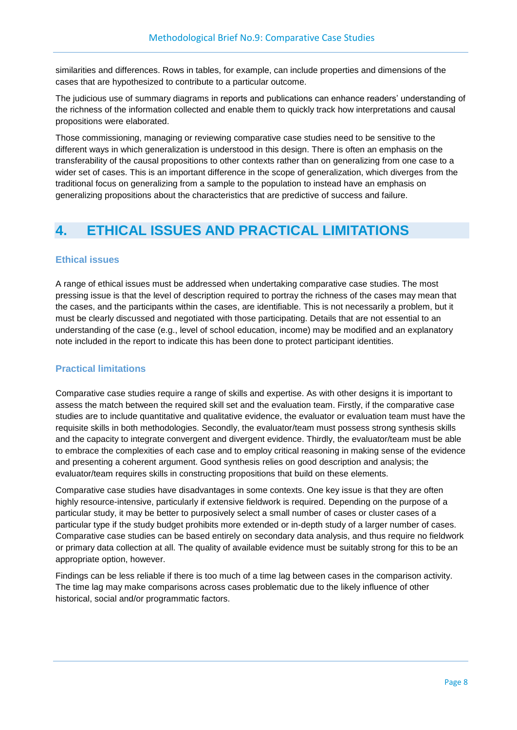similarities and differences. Rows in tables, for example, can include properties and dimensions of the cases that are hypothesized to contribute to a particular outcome.

The judicious use of summary diagrams in reports and publications can enhance readers' understanding of the richness of the information collected and enable them to quickly track how interpretations and causal propositions were elaborated.

Those commissioning, managing or reviewing comparative case studies need to be sensitive to the different ways in which generalization is understood in this design. There is often an emphasis on the transferability of the causal propositions to other contexts rather than on generalizing from one case to a wider set of cases. This is an important difference in the scope of generalization, which diverges from the traditional focus on generalizing from a sample to the population to instead have an emphasis on generalizing propositions about the characteristics that are predictive of success and failure.

## **4. ETHICAL ISSUES AND PRACTICAL LIMITATIONS**

#### **Ethical issues**

A range of ethical issues must be addressed when undertaking comparative case studies. The most pressing issue is that the level of description required to portray the richness of the cases may mean that the cases, and the participants within the cases, are identifiable. This is not necessarily a problem, but it must be clearly discussed and negotiated with those participating. Details that are not essential to an understanding of the case (e.g., level of school education, income) may be modified and an explanatory note included in the report to indicate this has been done to protect participant identities.

#### **Practical limitations**

Comparative case studies require a range of skills and expertise. As with other designs it is important to assess the match between the required skill set and the evaluation team. Firstly, if the comparative case studies are to include quantitative and qualitative evidence, the evaluator or evaluation team must have the requisite skills in both methodologies. Secondly, the evaluator/team must possess strong synthesis skills and the capacity to integrate convergent and divergent evidence. Thirdly, the evaluator/team must be able to embrace the complexities of each case and to employ critical reasoning in making sense of the evidence and presenting a coherent argument. Good synthesis relies on good description and analysis; the evaluator/team requires skills in constructing propositions that build on these elements.

Comparative case studies have disadvantages in some contexts. One key issue is that they are often highly resource-intensive, particularly if extensive fieldwork is required. Depending on the purpose of a particular study, it may be better to purposively select a small number of cases or cluster cases of a particular type if the study budget prohibits more extended or in-depth study of a larger number of cases. Comparative case studies can be based entirely on secondary data analysis, and thus require no fieldwork or primary data collection at all. The quality of available evidence must be suitably strong for this to be an appropriate option, however.

Findings can be less reliable if there is too much of a time lag between cases in the comparison activity. The time lag may make comparisons across cases problematic due to the likely influence of other historical, social and/or programmatic factors.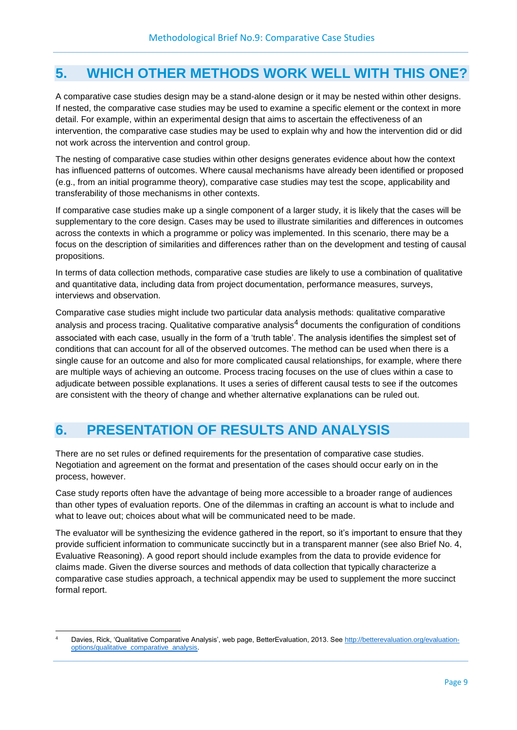## **5. WHICH OTHER METHODS WORK WELL WITH THIS ONE?**

A comparative case studies design may be a stand-alone design or it may be nested within other designs. If nested, the comparative case studies may be used to examine a specific element or the context in more detail. For example, within an experimental design that aims to ascertain the effectiveness of an intervention, the comparative case studies may be used to explain why and how the intervention did or did not work across the intervention and control group.

The nesting of comparative case studies within other designs generates evidence about how the context has influenced patterns of outcomes. Where causal mechanisms have already been identified or proposed (e.g., from an initial programme theory), comparative case studies may test the scope, applicability and transferability of those mechanisms in other contexts.

If comparative case studies make up a single component of a larger study, it is likely that the cases will be supplementary to the core design. Cases may be used to illustrate similarities and differences in outcomes across the contexts in which a programme or policy was implemented. In this scenario, there may be a focus on the description of similarities and differences rather than on the development and testing of causal propositions.

In terms of data collection methods, comparative case studies are likely to use a combination of qualitative and quantitative data, including data from project documentation, performance measures, surveys, interviews and observation.

Comparative case studies might include two particular data analysis methods: qualitative comparative analysis and process tracing. Qualitative comparative analysis<sup>4</sup> documents the configuration of conditions associated with each case, usually in the form of a 'truth table'. The analysis identifies the simplest set of conditions that can account for all of the observed outcomes. The method can be used when there is a single cause for an outcome and also for more complicated causal relationships, for example, where there are multiple ways of achieving an outcome. Process tracing focuses on the use of clues within a case to adjudicate between possible explanations. It uses a series of different causal tests to see if the outcomes are consistent with the theory of change and whether alternative explanations can be ruled out.

## **6. PRESENTATION OF RESULTS AND ANALYSIS**

There are no set rules or defined requirements for the presentation of comparative case studies. Negotiation and agreement on the format and presentation of the cases should occur early on in the process, however.

Case study reports often have the advantage of being more accessible to a broader range of audiences than other types of evaluation reports. One of the dilemmas in crafting an account is what to include and what to leave out; choices about what will be communicated need to be made.

The evaluator will be synthesizing the evidence gathered in the report, so it's important to ensure that they provide sufficient information to communicate succinctly but in a transparent manner (see also Brief No. 4, Evaluative Reasoning). A good report should include examples from the data to provide evidence for claims made. Given the diverse sources and methods of data collection that typically characterize a comparative case studies approach, a technical appendix may be used to supplement the more succinct formal report.

**<sup>.</sup>** Davies, Rick, 'Qualitative Comparative Analysis', web page, BetterEvaluation, 2013. Se[e http://betterevaluation.org/evaluation](http://betterevaluation.org/evaluation-options/qualitative_comparative_analysis)[options/qualitative\\_comparative\\_analysis.](http://betterevaluation.org/evaluation-options/qualitative_comparative_analysis)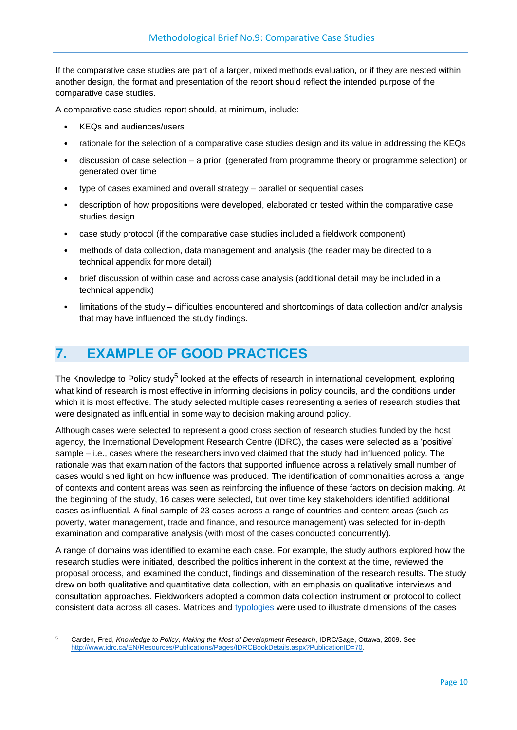If the comparative case studies are part of a larger, mixed methods evaluation, or if they are nested within another design, the format and presentation of the report should reflect the intended purpose of the comparative case studies.

A comparative case studies report should, at minimum, include:

- KEQs and audiences/users
- rationale for the selection of a comparative case studies design and its value in addressing the KEQs
- discussion of case selection a priori (generated from programme theory or programme selection) or generated over time
- type of cases examined and overall strategy parallel or sequential cases
- description of how propositions were developed, elaborated or tested within the comparative case studies design
- case study protocol (if the comparative case studies included a fieldwork component)
- methods of data collection, data management and analysis (the reader may be directed to a technical appendix for more detail)
- brief discussion of within case and across case analysis (additional detail may be included in a technical appendix)
- limitations of the study difficulties encountered and shortcomings of data collection and/or analysis that may have influenced the study findings.

## **7. EXAMPLE OF GOOD PRACTICES**

The Knowledge to Policy study<sup>5</sup> looked at the effects of research in international development, exploring what kind of research is most effective in informing decisions in policy councils, and the conditions under which it is most effective. The study selected multiple cases representing a series of research studies that were designated as influential in some way to decision making around policy.

Although cases were selected to represent a good cross section of research studies funded by the host agency, the International Development Research Centre (IDRC), the cases were selected as a 'positive' sample – i.e., cases where the researchers involved claimed that the study had influenced policy. The rationale was that examination of the factors that supported influence across a relatively small number of cases would shed light on how influence was produced. The identification of commonalities across a range of contexts and content areas was seen as reinforcing the influence of these factors on decision making. At the beginning of the study, 16 cases were selected, but over time key stakeholders identified additional cases as influential. A final sample of 23 cases across a range of countries and content areas (such as poverty, water management, trade and finance, and resource management) was selected for in-depth examination and comparative analysis (with most of the cases conducted concurrently).

A range of domains was identified to examine each case. For example, the study authors explored how the research studies were initiated, described the politics inherent in the context at the time, reviewed the proposal process, and examined the conduct, findings and dissemination of the research results. The study drew on both qualitative and quantitative data collection, with an emphasis on qualitative interviews and consultation approaches. Fieldworkers adopted a common data collection instrument or protocol to collect consistent data across all cases. Matrices and [typologies](#page-16-3) were used to illustrate dimensions of the cases

<span id="page-11-0"></span>**<sup>.</sup>** <sup>5</sup> Carden, Fred, *Knowledge to Policy, Making the Most of Development Research*, IDRC/Sage, Ottawa, 2009. See [http://www.idrc.ca/EN/Resources/Publications/Pages/IDRCBookDetails.aspx?PublicationID=70.](http://www.idrc.ca/EN/Resources/Publications/Pages/IDRCBookDetails.aspx?PublicationID=70)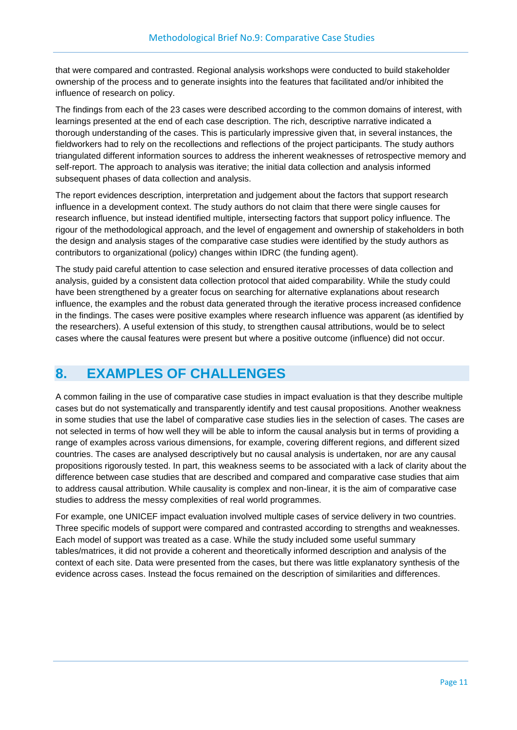that were compared and contrasted. Regional analysis workshops were conducted to build stakeholder ownership of the process and to generate insights into the features that facilitated and/or inhibited the influence of research on policy.

The findings from each of the 23 cases were described according to the common domains of interest, with learnings presented at the end of each case description. The rich, descriptive narrative indicated a thorough understanding of the cases. This is particularly impressive given that, in several instances, the fieldworkers had to rely on the recollections and reflections of the project participants. The study authors triangulated different information sources to address the inherent weaknesses of retrospective memory and self-report. The approach to analysis was iterative; the initial data collection and analysis informed subsequent phases of data collection and analysis.

The report evidences description, interpretation and judgement about the factors that support research influence in a development context. The study authors do not claim that there were single causes for research influence, but instead identified multiple, intersecting factors that support policy influence. The rigour of the methodological approach, and the level of engagement and ownership of stakeholders in both the design and analysis stages of the comparative case studies were identified by the study authors as contributors to organizational (policy) changes within IDRC (the funding agent).

The study paid careful attention to case selection and ensured iterative processes of data collection and analysis, guided by a consistent data collection protocol that aided comparability. While the study could have been strengthened by a greater focus on searching for alternative explanations about research influence, the examples and the robust data generated through the iterative process increased confidence in the findings. The cases were positive examples where research influence was apparent (as identified by the researchers). A useful extension of this study, to strengthen causal attributions, would be to select cases where the causal features were present but where a positive outcome (influence) did not occur.

## **8. EXAMPLES OF CHALLENGES**

A common failing in the use of comparative case studies in impact evaluation is that they describe multiple cases but do not systematically and transparently identify and test causal propositions. Another weakness in some studies that use the label of comparative case studies lies in the selection of cases. The cases are not selected in terms of how well they will be able to inform the causal analysis but in terms of providing a range of examples across various dimensions, for example, covering different regions, and different sized countries. The cases are analysed descriptively but no causal analysis is undertaken, nor are any causal propositions rigorously tested. In part, this weakness seems to be associated with a lack of clarity about the difference between case studies that are described and compared and comparative case studies that aim to address causal attribution. While causality is complex and non-linear, it is the aim of comparative case studies to address the messy complexities of real world programmes.

For example, one UNICEF impact evaluation involved multiple cases of service delivery in two countries. Three specific models of support were compared and contrasted according to strengths and weaknesses. Each model of support was treated as a case. While the study included some useful summary tables/matrices, it did not provide a coherent and theoretically informed description and analysis of the context of each site. Data were presented from the cases, but there was little explanatory synthesis of the evidence across cases. Instead the focus remained on the description of similarities and differences.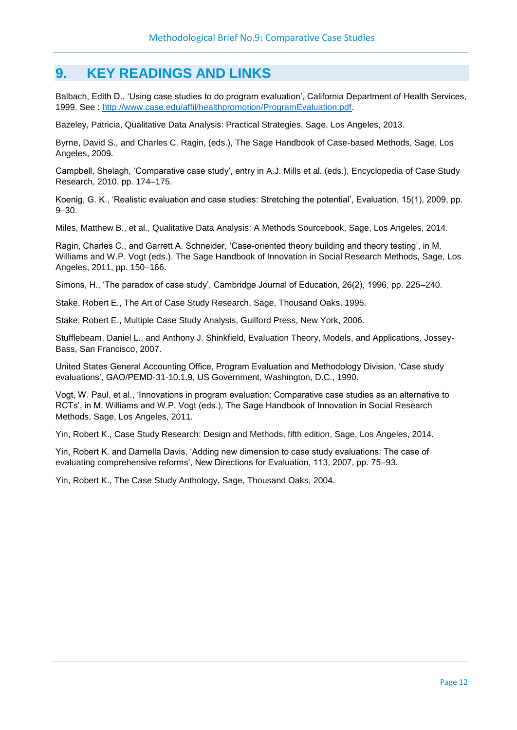### **9. KEY READINGS AND LINKS**

Balbach, Edith D., 'Using case studies to do program evaluation', California Department of Health Services, 1999. See : [http://www.case.edu/affil/healthpromotion/ProgramEvaluation.pdf.](http://www.case.edu/affil/healthpromotion/ProgramEvaluation.pdf)

Bazeley, Patricia, Qualitative Data Analysis: Practical Strategies, Sage, Los Angeles, 2013.

Byrne, David S., and Charles C. Ragin, (eds.), The Sage Handbook of Case-based Methods, Sage, Los Angeles, 2009.

Campbell, Shelagh, 'Comparative case study', entry in A.J. Mills et al. (eds.), Encyclopedia of Case Study Research, 2010, pp. 174–175.

Koenig, G. K., 'Realistic evaluation and case studies: Stretching the potential', Evaluation, 15(1), 2009, pp. 9–30.

Miles, Matthew B., et al., Qualitative Data Analysis: A Methods Sourcebook, Sage, Los Angeles, 2014.

Ragin, Charles C., and Garrett A. Schneider, 'Case-oriented theory building and theory testing', in M. Williams and W.P. Vogt (eds.), The Sage Handbook of Innovation in Social Research Methods, Sage, Los Angeles, 2011, pp. 150–166.

Simons, H., 'The paradox of case study', Cambridge Journal of Education, 26(2), 1996, pp. 225–240.

Stake, Robert E., The Art of Case Study Research, Sage, Thousand Oaks, 1995.

Stake, Robert E., Multiple Case Study Analysis, Guilford Press, New York, 2006.

Stufflebeam, Daniel L., and Anthony J. Shinkfield, Evaluation Theory, Models, and Applications, Jossey-Bass, San Francisco, 2007.

United States General Accounting Office, Program Evaluation and Methodology Division, 'Case study evaluations', GAO/PEMD-31-10.1.9, US Government, Washington, D.C., 1990.

Vogt, W. Paul, et al., 'Innovations in program evaluation: Comparative case studies as an alternative to RCTs', in M. Williams and W.P. Vogt (eds.), The Sage Handbook of Innovation in Social Research Methods, Sage, Los Angeles, 2011.

Yin, Robert K., Case Study Research: Design and Methods, fifth edition, Sage, Los Angeles, 2014.

Yin, Robert K. and Darnella Davis, 'Adding new dimension to case study evaluations: The case of evaluating comprehensive reforms', New Directions for Evaluation, 113, 2007, pp. 75–93.

Yin, Robert K., The Case Study Anthology, Sage, Thousand Oaks, 2004.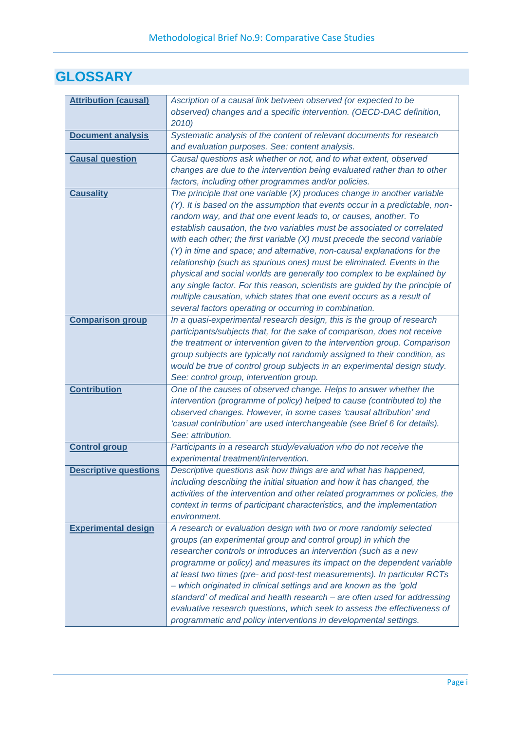## **GLOSSARY**

<span id="page-14-8"></span><span id="page-14-7"></span><span id="page-14-6"></span><span id="page-14-5"></span><span id="page-14-4"></span><span id="page-14-3"></span><span id="page-14-2"></span><span id="page-14-1"></span><span id="page-14-0"></span>

| <b>Attribution (causal)</b>  | Ascription of a causal link between observed (or expected to be               |
|------------------------------|-------------------------------------------------------------------------------|
|                              | observed) changes and a specific intervention. (OECD-DAC definition,          |
|                              | 2010)                                                                         |
| <b>Document analysis</b>     | Systematic analysis of the content of relevant documents for research         |
|                              | and evaluation purposes. See: content analysis.                               |
| <b>Causal question</b>       | Causal questions ask whether or not, and to what extent, observed             |
|                              | changes are due to the intervention being evaluated rather than to other      |
|                              | factors, including other programmes and/or policies.                          |
| <b>Causality</b>             | The principle that one variable (X) produces change in another variable       |
|                              | (Y). It is based on the assumption that events occur in a predictable, non-   |
|                              | random way, and that one event leads to, or causes, another. To               |
|                              | establish causation, the two variables must be associated or correlated       |
|                              | with each other; the first variable $(X)$ must precede the second variable    |
|                              |                                                                               |
|                              | (Y) in time and space; and alternative, non-causal explanations for the       |
|                              | relationship (such as spurious ones) must be eliminated. Events in the        |
|                              | physical and social worlds are generally too complex to be explained by       |
|                              | any single factor. For this reason, scientists are guided by the principle of |
|                              | multiple causation, which states that one event occurs as a result of         |
|                              | several factors operating or occurring in combination.                        |
| <b>Comparison group</b>      | In a quasi-experimental research design, this is the group of research        |
|                              | participants/subjects that, for the sake of comparison, does not receive      |
|                              | the treatment or intervention given to the intervention group. Comparison     |
|                              | group subjects are typically not randomly assigned to their condition, as     |
|                              | would be true of control group subjects in an experimental design study.      |
|                              | See: control group, intervention group.                                       |
| <b>Contribution</b>          | One of the causes of observed change. Helps to answer whether the             |
|                              | intervention (programme of policy) helped to cause (contributed to) the       |
|                              | observed changes. However, in some cases 'causal attribution' and             |
|                              | 'casual contribution' are used interchangeable (see Brief 6 for details).     |
|                              | See: attribution.                                                             |
| <b>Control group</b>         | Participants in a research study/evaluation who do not receive the            |
|                              | experimental treatment/intervention.                                          |
| <b>Descriptive questions</b> | Descriptive questions ask how things are and what has happened,               |
|                              | including describing the initial situation and how it has changed, the        |
|                              | activities of the intervention and other related programmes or policies, the  |
|                              | context in terms of participant characteristics, and the implementation       |
|                              | environment.                                                                  |
| <b>Experimental design</b>   | A research or evaluation design with two or more randomly selected            |
|                              | groups (an experimental group and control group) in which the                 |
|                              | researcher controls or introduces an intervention (such as a new              |
|                              | programme or policy) and measures its impact on the dependent variable        |
|                              | at least two times (pre- and post-test measurements). In particular RCTs      |
|                              | - which originated in clinical settings and are known as the 'gold            |
|                              | standard' of medical and health research - are often used for addressing      |
|                              | evaluative research questions, which seek to assess the effectiveness of      |
|                              | programmatic and policy interventions in developmental settings.              |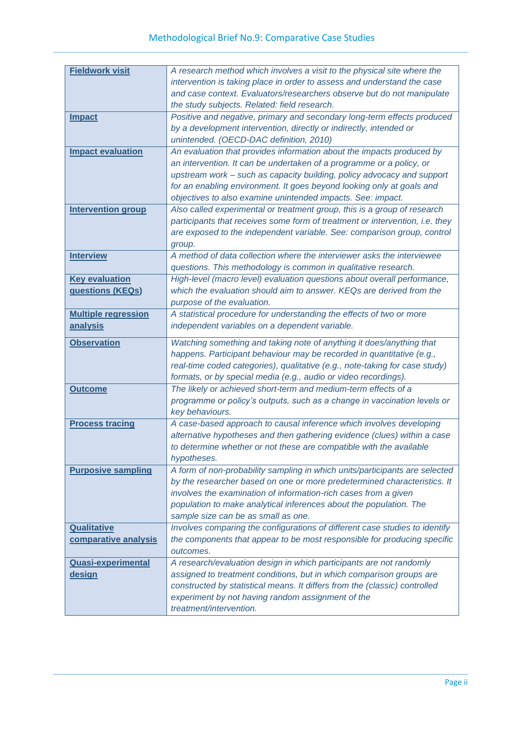<span id="page-15-12"></span><span id="page-15-11"></span><span id="page-15-10"></span><span id="page-15-9"></span><span id="page-15-8"></span><span id="page-15-7"></span><span id="page-15-6"></span><span id="page-15-5"></span><span id="page-15-4"></span><span id="page-15-3"></span><span id="page-15-2"></span><span id="page-15-1"></span><span id="page-15-0"></span>

| <b>Fieldwork visit</b>     | A research method which involves a visit to the physical site where the                                                           |
|----------------------------|-----------------------------------------------------------------------------------------------------------------------------------|
|                            | intervention is taking place in order to assess and understand the case                                                           |
|                            | and case context. Evaluators/researchers observe but do not manipulate                                                            |
|                            | the study subjects. Related: field research.                                                                                      |
| <b>Impact</b>              | Positive and negative, primary and secondary long-term effects produced                                                           |
|                            | by a development intervention, directly or indirectly, intended or                                                                |
|                            | unintended. (OECD-DAC definition, 2010)                                                                                           |
| <b>Impact evaluation</b>   | An evaluation that provides information about the impacts produced by                                                             |
|                            | an intervention. It can be undertaken of a programme or a policy, or                                                              |
|                            | upstream work - such as capacity building, policy advocacy and support                                                            |
|                            | for an enabling environment. It goes beyond looking only at goals and                                                             |
|                            | objectives to also examine unintended impacts. See: impact.                                                                       |
| <b>Intervention group</b>  | Also called experimental or treatment group, this is a group of research                                                          |
|                            | participants that receives some form of treatment or intervention, i.e. they                                                      |
|                            | are exposed to the independent variable. See: comparison group, control                                                           |
|                            | group.                                                                                                                            |
| <b>Interview</b>           | A method of data collection where the interviewer asks the interviewee                                                            |
|                            | questions. This methodology is common in qualitative research.                                                                    |
| <b>Key evaluation</b>      | High-level (macro level) evaluation questions about overall performance,                                                          |
| questions (KEQs)           | which the evaluation should aim to answer. KEQs are derived from the                                                              |
|                            | purpose of the evaluation.                                                                                                        |
| <b>Multiple regression</b> | A statistical procedure for understanding the effects of two or more                                                              |
| <u>analysis</u>            | independent variables on a dependent variable.                                                                                    |
| <b>Observation</b>         | Watching something and taking note of anything it does/anything that                                                              |
|                            |                                                                                                                                   |
|                            |                                                                                                                                   |
|                            | happens. Participant behaviour may be recorded in quantitative (e.g.,                                                             |
|                            | real-time coded categories), qualitative (e.g., note-taking for case study)                                                       |
| <b>Outcome</b>             | formats, or by special media (e.g., audio or video recordings).<br>The likely or achieved short-term and medium-term effects of a |
|                            | programme or policy's outputs, such as a change in vaccination levels or                                                          |
|                            | key behaviours.                                                                                                                   |
| <b>Process tracing</b>     | A case-based approach to causal inference which involves developing                                                               |
|                            | alternative hypotheses and then gathering evidence (clues) within a case                                                          |
|                            | to determine whether or not these are compatible with the available                                                               |
|                            | hypotheses.                                                                                                                       |
| <b>Purposive sampling</b>  | A form of non-probability sampling in which units/participants are selected                                                       |
|                            | by the researcher based on one or more predetermined characteristics. It                                                          |
|                            | involves the examination of information-rich cases from a given                                                                   |
|                            | population to make analytical inferences about the population. The                                                                |
|                            | sample size can be as small as one.                                                                                               |
| <b>Qualitative</b>         | Involves comparing the configurations of different case studies to identify                                                       |
| comparative analysis       | the components that appear to be most responsible for producing specific                                                          |
|                            | outcomes.                                                                                                                         |
| <b>Quasi-experimental</b>  | A research/evaluation design in which participants are not randomly                                                               |
| <u>design</u>              | assigned to treatment conditions, but in which comparison groups are                                                              |
|                            | constructed by statistical means. It differs from the (classic) controlled                                                        |
|                            | experiment by not having random assignment of the<br>treatment/intervention.                                                      |